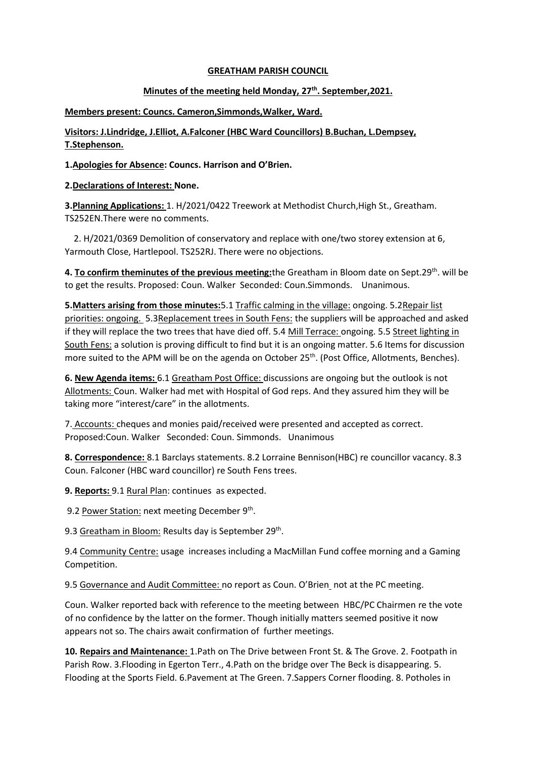## **GREATHAM PARISH COUNCIL**

## **Minutes of the meeting held Monday, 27th. September,2021.**

**Members present: Councs. Cameron,Simmonds,Walker, Ward.**

**Visitors: J.Lindridge, J.Elliot, A.Falconer (HBC Ward Councillors) B.Buchan, L.Dempsey, T.Stephenson.**

**1.Apologies for Absence: Councs. Harrison and O'Brien.**

## **2.Declarations of Interest: None.**

**3.Planning Applications:** 1. H/2021/0422 Treework at Methodist Church,High St., Greatham. TS252EN.There were no comments.

 2. H/2021/0369 Demolition of conservatory and replace with one/two storey extension at 6, Yarmouth Close, Hartlepool. TS252RJ. There were no objections.

**4. To confirm theminutes of the previous meeting:**the Greatham in Bloom date on Sept.29<sup>th</sup>. will be to get the results. Proposed: Coun. Walker Seconded: Coun.Simmonds. Unanimous.

**5.Matters arising from those minutes:**5.1 Traffic calming in the village: ongoing. 5.2Repair list priorities: ongoing. 5.3Replacement trees in South Fens: the suppliers will be approached and asked if they will replace the two trees that have died off. 5.4 Mill Terrace: ongoing. 5.5 Street lighting in South Fens: a solution is proving difficult to find but it is an ongoing matter. 5.6 Items for discussion more suited to the APM will be on the agenda on October 25<sup>th</sup>. (Post Office, Allotments, Benches).

**6. New Agenda items:** 6.1 Greatham Post Office: discussions are ongoing but the outlook is not Allotments: Coun. Walker had met with Hospital of God reps. And they assured him they will be taking more "interest/care" in the allotments.

7. Accounts: cheques and monies paid/received were presented and accepted as correct. Proposed:Coun. Walker Seconded: Coun. Simmonds. Unanimous

**8. Correspondence:** 8.1 Barclays statements. 8.2 Lorraine Bennison(HBC) re councillor vacancy. 8.3 Coun. Falconer (HBC ward councillor) re South Fens trees.

**9. Reports:** 9.1 Rural Plan: continues as expected.

9.2 Power Station: next meeting December 9<sup>th</sup>.

9.3 Greatham in Bloom: Results day is September 29<sup>th</sup>.

9.4 Community Centre: usage increases including a MacMillan Fund coffee morning and a Gaming Competition.

9.5 Governance and Audit Committee: no report as Coun. O'Brien\_not at the PC meeting.

Coun. Walker reported back with reference to the meeting between HBC/PC Chairmen re the vote of no confidence by the latter on the former. Though initially matters seemed positive it now appears not so. The chairs await confirmation of further meetings.

**10. Repairs and Maintenance:** 1.Path on The Drive between Front St. & The Grove. 2. Footpath in Parish Row. 3.Flooding in Egerton Terr., 4.Path on the bridge over The Beck is disappearing. 5. Flooding at the Sports Field. 6.Pavement at The Green. 7.Sappers Corner flooding. 8. Potholes in